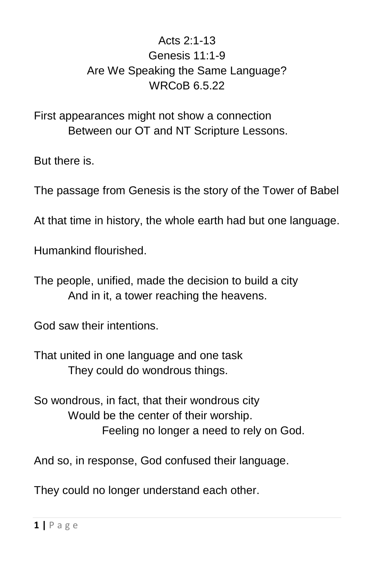## Acts  $2.1-13$ Genesis 11:1-9 Are We Speaking the Same Language? WRCoB 6.5.22

First appearances might not show a connection Between our OT and NT Scripture Lessons.

But there is.

The passage from Genesis is the story of the Tower of Babel

At that time in history, the whole earth had but one language.

Humankind flourished.

The people, unified, made the decision to build a city And in it, a tower reaching the heavens.

God saw their intentions.

That united in one language and one task They could do wondrous things.

So wondrous, in fact, that their wondrous city Would be the center of their worship. Feeling no longer a need to rely on God.

And so, in response, God confused their language.

They could no longer understand each other.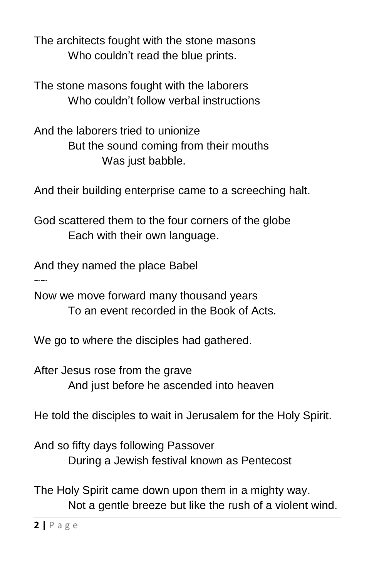The architects fought with the stone masons Who couldn't read the blue prints.

The stone masons fought with the laborers Who couldn't follow verbal instructions

And the laborers tried to unionize But the sound coming from their mouths Was just babble.

And their building enterprise came to a screeching halt.

God scattered them to the four corners of the globe Each with their own language.

And they named the place Babel

 $\sim$ 

Now we move forward many thousand years To an event recorded in the Book of Acts.

We go to where the disciples had gathered.

After Jesus rose from the grave And just before he ascended into heaven

He told the disciples to wait in Jerusalem for the Holy Spirit.

And so fifty days following Passover During a Jewish festival known as Pentecost

The Holy Spirit came down upon them in a mighty way. Not a gentle breeze but like the rush of a violent wind.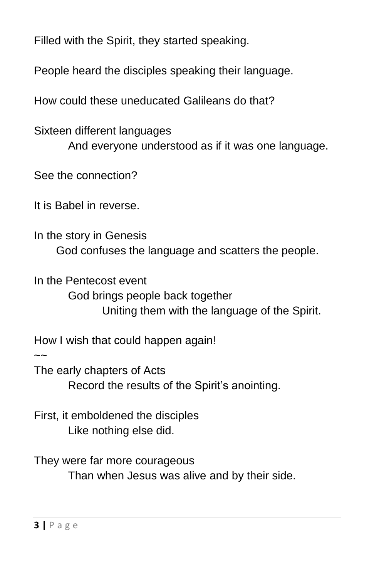Filled with the Spirit, they started speaking.

People heard the disciples speaking their language.

How could these uneducated Galileans do that?

Sixteen different languages And everyone understood as if it was one language.

See the connection?

It is Babel in reverse.

In the story in Genesis God confuses the language and scatters the people.

In the Pentecost event God brings people back together Uniting them with the language of the Spirit.

How I wish that could happen again!

 $\sim$ 

The early chapters of Acts Record the results of the Spirit's anointing.

First, it emboldened the disciples Like nothing else did.

They were far more courageous Than when Jesus was alive and by their side.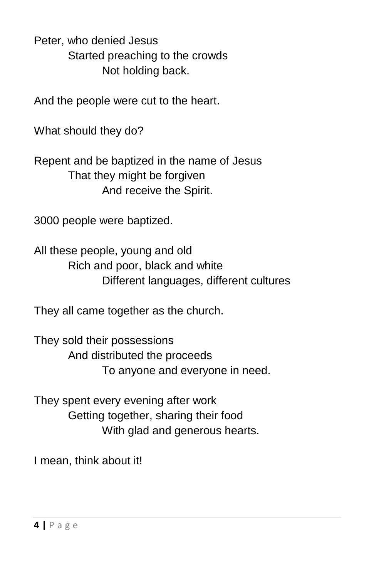Peter, who denied Jesus Started preaching to the crowds Not holding back.

And the people were cut to the heart.

What should they do?

Repent and be baptized in the name of Jesus That they might be forgiven And receive the Spirit.

3000 people were baptized.

All these people, young and old Rich and poor, black and white Different languages, different cultures

They all came together as the church.

They sold their possessions And distributed the proceeds To anyone and everyone in need.

They spent every evening after work Getting together, sharing their food With glad and generous hearts.

I mean, think about it!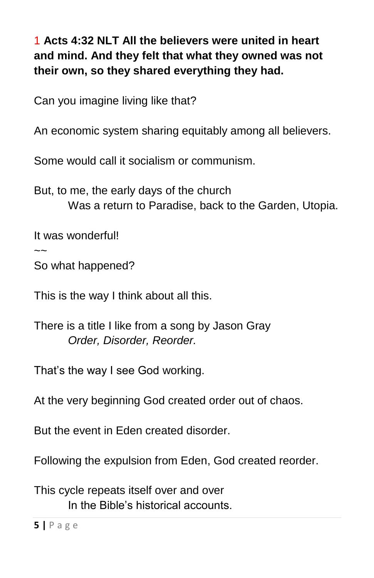1 **Acts 4:32 NLT All the believers were united in heart and mind. And they felt that what they owned was not their own, so they shared everything they had.**

Can you imagine living like that?

An economic system sharing equitably among all believers.

Some would call it socialism or communism.

But, to me, the early days of the church Was a return to Paradise, back to the Garden, Utopia.

It was wonderful!

 $\sim$ 

So what happened?

This is the way I think about all this.

There is a title I like from a song by Jason Gray *Order, Disorder, Reorder.*

That's the way I see God working.

At the very beginning God created order out of chaos.

But the event in Eden created disorder.

Following the expulsion from Eden, God created reorder.

This cycle repeats itself over and over In the Bible's historical accounts.

**5 |** P a g e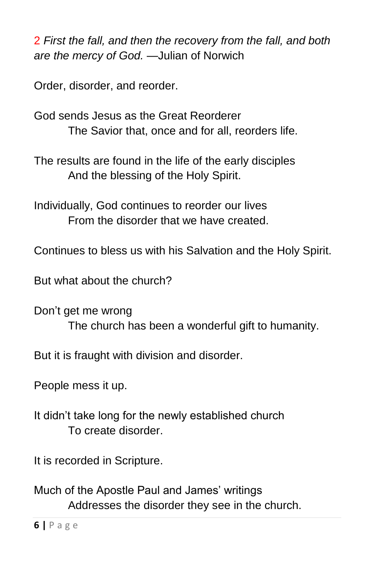2 *First the fall, and then the recovery from the fall, and both are the mercy of God.* —Julian of Norwich

Order, disorder, and reorder.

God sends Jesus as the Great Reorderer The Savior that, once and for all, reorders life.

The results are found in the life of the early disciples And the blessing of the Holy Spirit.

Individually, God continues to reorder our lives From the disorder that we have created.

Continues to bless us with his Salvation and the Holy Spirit.

But what about the church?

Don't get me wrong The church has been a wonderful gift to humanity.

But it is fraught with division and disorder.

People mess it up.

It didn't take long for the newly established church To create disorder.

It is recorded in Scripture.

Much of the Apostle Paul and James' writings Addresses the disorder they see in the church.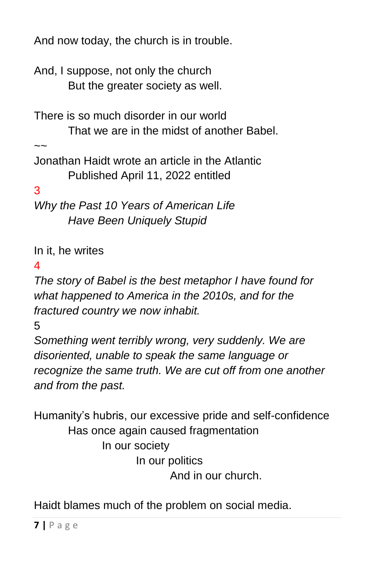And now today, the church is in trouble.

And, I suppose, not only the church But the greater society as well.

There is so much disorder in our world That we are in the midst of another Babel.

 $\sim$ 

Jonathan Haidt wrote an article in the Atlantic Published April 11, 2022 entitled

3

*Why the Past 10 Years of American Life Have Been Uniquely Stupid*

In it, he writes

4

*The story of Babel is the best metaphor I have found for what happened to America in the 2010s, and for the fractured country we now inhabit.* 

5

*Something went terribly wrong, very suddenly. We are disoriented, unable to speak the same language or recognize the same truth. We are cut off from one another and from the past.*

Humanity's hubris, our excessive pride and self-confidence Has once again caused fragmentation In our society In our politics And in our church.

Haidt blames much of the problem on social media.

**7 |** P a g e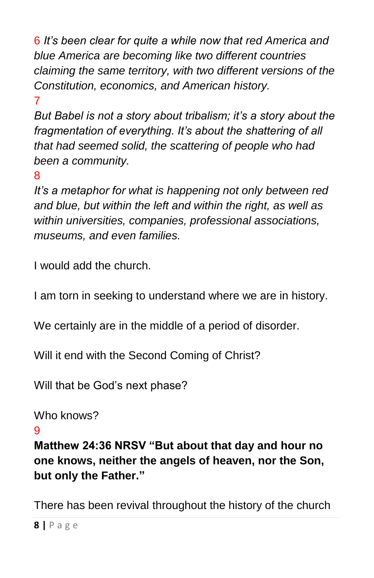6 *It's been clear for quite a while now that [red America and](https://www.theatlantic.com/magazine/archive/2001/12/one-nation-slightly-divisible/376441/)  [blue America](https://www.theatlantic.com/magazine/archive/2001/12/one-nation-slightly-divisible/376441/) are becoming like two different countries claiming the same territory, with two different versions of the Constitution, economics, and American history.* 

7

*But Babel is not a story about tribalism; it's a story about the fragmentation of everything. It's about the shattering of all that had seemed solid, the scattering of people who had been a community.* 

8

*It's a metaphor for what is happening not only between red and blue, but within the left and within the right, as well as within universities, companies, professional associations, museums, and even families.*

I would add the church.

I am torn in seeking to understand where we are in history.

We certainly are in the middle of a period of disorder.

Will it end with the Second Coming of Christ?

Will that be God's next phase?

```
Who knows?
```
9

**Matthew 24:36 NRSV "But about that day and hour no one knows, neither the angels of heaven, nor the Son, but only the Father."**

There has been revival throughout the history of the church

**8 |** P a g e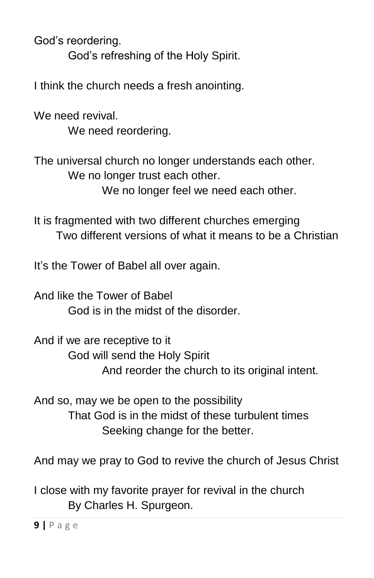God's reordering.

God's refreshing of the Holy Spirit.

I think the church needs a fresh anointing.

We need revival. We need reordering.

The universal church no longer understands each other. We no longer trust each other. We no longer feel we need each other.

It is fragmented with two different churches emerging Two different versions of what it means to be a Christian

It's the Tower of Babel all over again.

And like the Tower of Babel God is in the midst of the disorder.

And if we are receptive to it God will send the Holy Spirit And reorder the church to its original intent.

And so, may we be open to the possibility That God is in the midst of these turbulent times Seeking change for the better.

And may we pray to God to revive the church of Jesus Christ

I close with my favorite prayer for revival in the church By Charles H. Spurgeon.